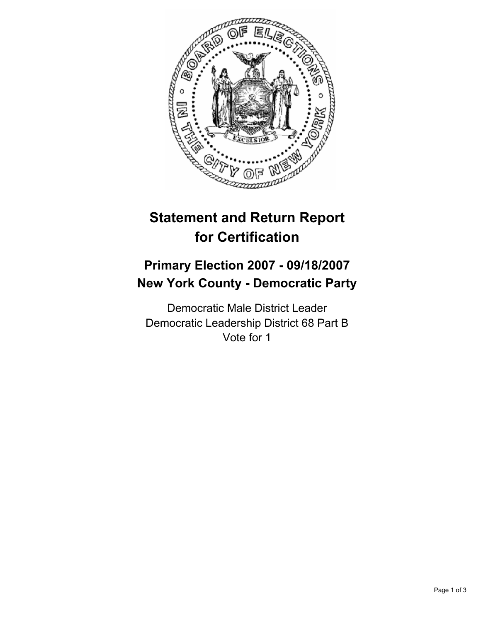

# **Statement and Return Report for Certification**

## **Primary Election 2007 - 09/18/2007 New York County - Democratic Party**

Democratic Male District Leader Democratic Leadership District 68 Part B Vote for 1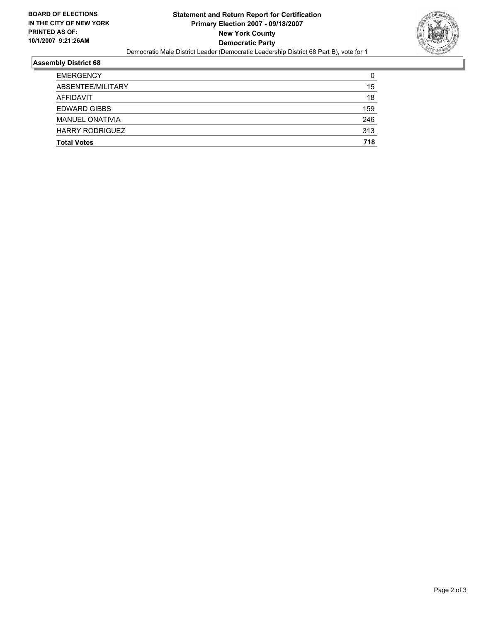

#### **Assembly District 68**

| <b>EMERGENCY</b>       | 0   |
|------------------------|-----|
| ABSENTEE/MILITARY      | 15  |
| AFFIDAVIT              | 18  |
| <b>EDWARD GIBBS</b>    | 159 |
| <b>MANUEL ONATIVIA</b> | 246 |
| <b>HARRY RODRIGUEZ</b> | 313 |
| <b>Total Votes</b>     | 718 |